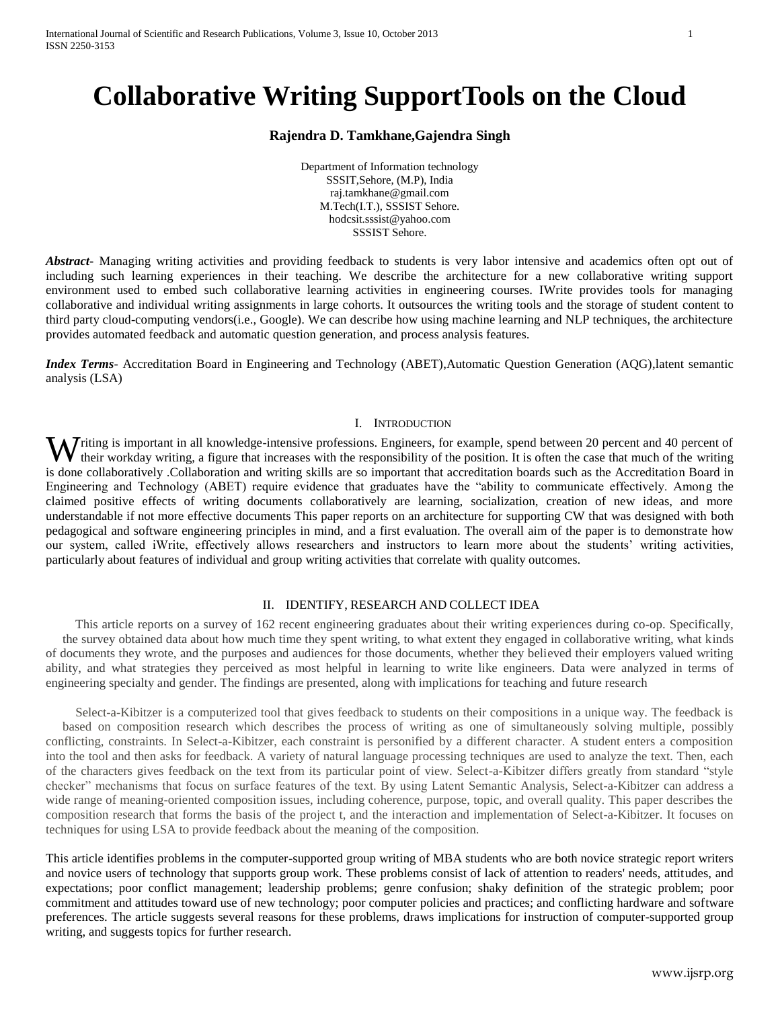# **Collaborative Writing SupportTools on the Cloud**

# **Rajendra D. Tamkhane,Gajendra Singh**

Department of Information technology SSSIT,Sehore, (M.P), India raj.tamkhane@gmail.com M.Tech(I.T.), SSSIST Sehore. hodcsit.sssist@yahoo.com SSSIST Sehore.

*Abstract***-** Managing writing activities and providing feedback to students is very labor intensive and academics often opt out of including such learning experiences in their teaching. We describe the architecture for a new collaborative writing support environment used to embed such collaborative learning activities in engineering courses. IWrite provides tools for managing collaborative and individual writing assignments in large cohorts. It outsources the writing tools and the storage of student content to third party cloud-computing vendors(i.e., Google). We can describe how using machine learning and NLP techniques, the architecture provides automated feedback and automatic question generation, and process analysis features.

*Index Terms*- Accreditation Board in Engineering and Technology (ABET),Automatic Question Generation (AQG),latent semantic analysis (LSA)

### I. INTRODUCTION

Writing is important in all knowledge-intensive professions. Engineers, for example, spend between 20 percent and 40 percent of their workday writing, a figure that increases with the responsibility of the position. It is their workday writing, a figure that increases with the responsibility of the position. It is often the case that much of the writing is done collaboratively .Collaboration and writing skills are so important that accreditation boards such as the Accreditation Board in Engineering and Technology (ABET) require evidence that graduates have the "ability to communicate effectively. Among the claimed positive effects of writing documents collaboratively are learning, socialization, creation of new ideas, and more understandable if not more effective documents This paper reports on an architecture for supporting CW that was designed with both pedagogical and software engineering principles in mind, and a first evaluation. The overall aim of the paper is to demonstrate how our system, called iWrite, effectively allows researchers and instructors to learn more about the students' writing activities, particularly about features of individual and group writing activities that correlate with quality outcomes.

#### II. IDENTIFY, RESEARCH AND COLLECT IDEA

 This article reports on a survey of 162 recent engineering graduates about their writing experiences during co-op. Specifically, the survey obtained data about how much time they spent writing, to what extent they engaged in collaborative writing, what kinds of documents they wrote, and the purposes and audiences for those documents, whether they believed their employers valued writing ability, and what strategies they perceived as most helpful in learning to write like engineers. Data were analyzed in terms of engineering specialty and gender. The findings are presented, along with implications for teaching and future research

 Select-a-Kibitzer is a computerized tool that gives feedback to students on their compositions in a unique way. The feedback is based on composition research which describes the process of writing as one of simultaneously solving multiple, possibly conflicting, constraints. In Select-a-Kibitzer, each constraint is personified by a different character. A student enters a composition into the tool and then asks for feedback. A variety of natural language processing techniques are used to analyze the text. Then, each of the characters gives feedback on the text from its particular point of view. Select-a-Kibitzer differs greatly from standard "style checker" mechanisms that focus on surface features of the text. By using Latent Semantic Analysis, Select-a-Kibitzer can address a wide range of meaning-oriented composition issues, including coherence, purpose, topic, and overall quality. This paper describes the composition research that forms the basis of the project t, and the interaction and implementation of Select-a-Kibitzer. It focuses on techniques for using LSA to provide feedback about the meaning of the composition.

This article identifies problems in the computer-supported group writing of MBA students who are both novice strategic report writers and novice users of technology that supports group work. These problems consist of lack of attention to readers' needs, attitudes, and expectations; poor conflict management; leadership problems; genre confusion; shaky definition of the strategic problem; poor commitment and attitudes toward use of new technology; poor computer policies and practices; and conflicting hardware and software preferences. The article suggests several reasons for these problems, draws implications for instruction of computer-supported group writing, and suggests topics for further research.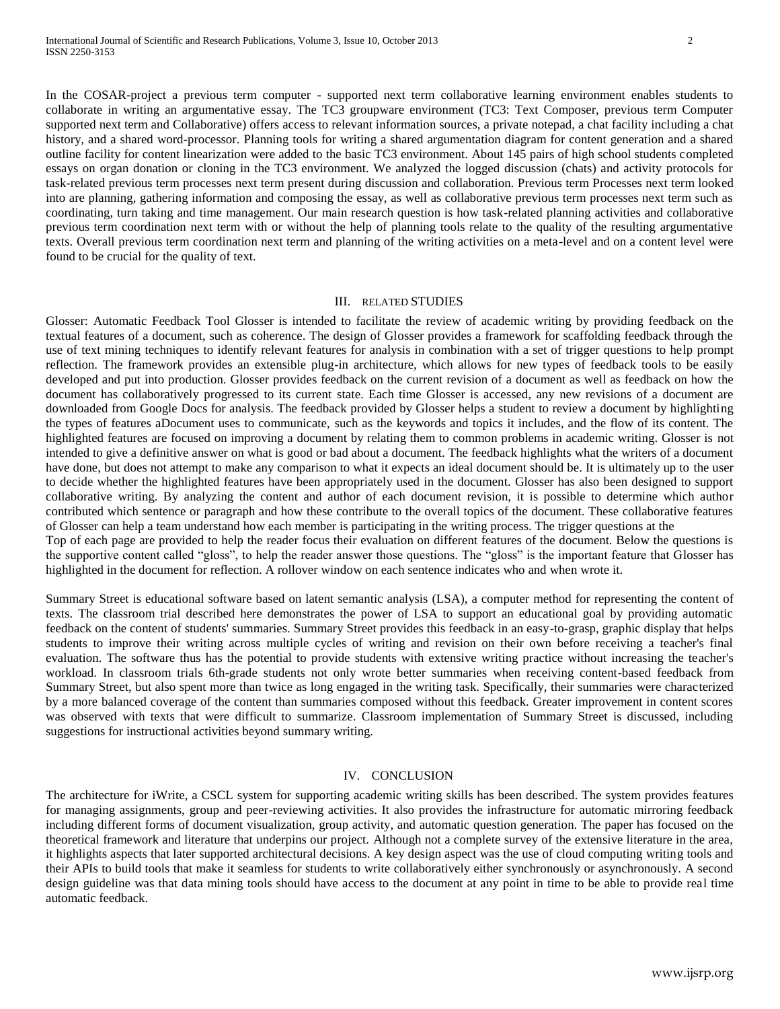In the COSAR-project a previous term computer - supported next term collaborative learning environment enables students to collaborate in writing an argumentative essay. The TC3 groupware environment (TC3: Text Composer, previous term Computer supported next term and Collaborative) offers access to relevant information sources, a private notepad, a chat facility including a chat history, and a shared word-processor. Planning tools for writing a shared argumentation diagram for content generation and a shared outline facility for content linearization were added to the basic TC3 environment. About 145 pairs of high school students completed essays on organ donation or cloning in the TC3 environment. We analyzed the logged discussion (chats) and activity protocols for task-related previous term processes next term present during discussion and collaboration. Previous term Processes next term looked into are planning, gathering information and composing the essay, as well as collaborative previous term processes next term such as coordinating, turn taking and time management. Our main research question is how task-related planning activities and collaborative previous term coordination next term with or without the help of planning tools relate to the quality of the resulting argumentative texts. Overall previous term coordination next term and planning of the writing activities on a meta-level and on a content level were found to be crucial for the quality of text.

#### III. RELATED STUDIES

Glosser: Automatic Feedback Tool Glosser is intended to facilitate the review of academic writing by providing feedback on the textual features of a document, such as coherence. The design of Glosser provides a framework for scaffolding feedback through the use of text mining techniques to identify relevant features for analysis in combination with a set of trigger questions to help prompt reflection. The framework provides an extensible plug-in architecture, which allows for new types of feedback tools to be easily developed and put into production. Glosser provides feedback on the current revision of a document as well as feedback on how the document has collaboratively progressed to its current state. Each time Glosser is accessed, any new revisions of a document are downloaded from Google Docs for analysis. The feedback provided by Glosser helps a student to review a document by highlighting the types of features aDocument uses to communicate, such as the keywords and topics it includes, and the flow of its content. The highlighted features are focused on improving a document by relating them to common problems in academic writing. Glosser is not intended to give a definitive answer on what is good or bad about a document. The feedback highlights what the writers of a document have done, but does not attempt to make any comparison to what it expects an ideal document should be. It is ultimately up to the user to decide whether the highlighted features have been appropriately used in the document. Glosser has also been designed to support collaborative writing. By analyzing the content and author of each document revision, it is possible to determine which author contributed which sentence or paragraph and how these contribute to the overall topics of the document. These collaborative features of Glosser can help a team understand how each member is participating in the writing process. The trigger questions at the Top of each page are provided to help the reader focus their evaluation on different features of the document. Below the questions is the supportive content called "gloss", to help the reader answer those questions. The "gloss" is the important feature that Glosser has

Summary Street is educational software based on latent semantic analysis (LSA), a computer method for representing the content of texts. The classroom trial described here demonstrates the power of LSA to support an educational goal by providing automatic feedback on the content of students' summaries. Summary Street provides this feedback in an easy-to-grasp, graphic display that helps students to improve their writing across multiple cycles of writing and revision on their own before receiving a teacher's final evaluation. The software thus has the potential to provide students with extensive writing practice without increasing the teacher's workload. In classroom trials 6th-grade students not only wrote better summaries when receiving content-based feedback from Summary Street, but also spent more than twice as long engaged in the writing task. Specifically, their summaries were characterized by a more balanced coverage of the content than summaries composed without this feedback. Greater improvement in content scores was observed with texts that were difficult to summarize. Classroom implementation of Summary Street is discussed, including suggestions for instructional activities beyond summary writing.

highlighted in the document for reflection. A rollover window on each sentence indicates who and when wrote it.

#### IV. CONCLUSION

The architecture for iWrite, a CSCL system for supporting academic writing skills has been described. The system provides features for managing assignments, group and peer-reviewing activities. It also provides the infrastructure for automatic mirroring feedback including different forms of document visualization, group activity, and automatic question generation. The paper has focused on the theoretical framework and literature that underpins our project. Although not a complete survey of the extensive literature in the area, it highlights aspects that later supported architectural decisions. A key design aspect was the use of cloud computing writing tools and their APIs to build tools that make it seamless for students to write collaboratively either synchronously or asynchronously. A second design guideline was that data mining tools should have access to the document at any point in time to be able to provide real time automatic feedback.